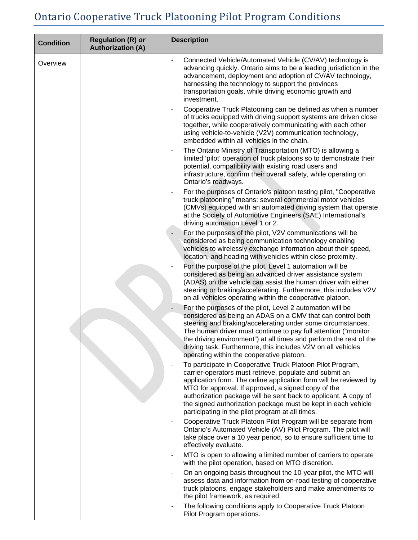## Ontario Cooperative Truck Platooning Pilot Program Conditions

| <b>Condition</b> | <b>Regulation (R) or</b><br><b>Authorization (A)</b>                                                                                                                                                                                                                                                                                                                                                                                        | <b>Description</b>                                                                                                                                                                                                                                                                                                            |  |
|------------------|---------------------------------------------------------------------------------------------------------------------------------------------------------------------------------------------------------------------------------------------------------------------------------------------------------------------------------------------------------------------------------------------------------------------------------------------|-------------------------------------------------------------------------------------------------------------------------------------------------------------------------------------------------------------------------------------------------------------------------------------------------------------------------------|--|
| Overview         |                                                                                                                                                                                                                                                                                                                                                                                                                                             | Connected Vehicle/Automated Vehicle (CV/AV) technology is<br>advancing quickly. Ontario aims to be a leading jurisdiction in the<br>advancement, deployment and adoption of CV/AV technology,<br>harnessing the technology to support the provinces<br>transportation goals, while driving economic growth and<br>investment. |  |
|                  |                                                                                                                                                                                                                                                                                                                                                                                                                                             | Cooperative Truck Platooning can be defined as when a number<br>of trucks equipped with driving support systems are driven close<br>together, while cooperatively communicating with each other<br>using vehicle-to-vehicle (V2V) communication technology,<br>embedded within all vehicles in the chain.                     |  |
|                  |                                                                                                                                                                                                                                                                                                                                                                                                                                             | The Ontario Ministry of Transportation (MTO) is allowing a<br>limited 'pilot' operation of truck platoons so to demonstrate their<br>potential, compatibility with existing road users and<br>infrastructure, confirm their overall safety, while operating on<br>Ontario's roadways.                                         |  |
|                  |                                                                                                                                                                                                                                                                                                                                                                                                                                             | For the purposes of Ontario's platoon testing pilot, "Cooperative<br>truck platooning" means: several commercial motor vehicles<br>(CMVs) equipped with an automated driving system that operate<br>at the Society of Automotive Engineers (SAE) International's<br>driving automation Level 1 or 2.                          |  |
|                  |                                                                                                                                                                                                                                                                                                                                                                                                                                             | For the purposes of the pilot, V2V communications will be<br>considered as being communication technology enabling<br>vehicles to wirelessly exchange information about their speed,<br>location, and heading with vehicles within close proximity.                                                                           |  |
|                  |                                                                                                                                                                                                                                                                                                                                                                                                                                             | For the purpose of the pilot, Level 1 automation will be<br>considered as being an advanced driver assistance system<br>(ADAS) on the vehicle can assist the human driver with either<br>steering or braking/accelerating. Furthermore, this includes V2V<br>on all vehicles operating within the cooperative platoon.        |  |
|                  | For the purposes of the pilot, Level 2 automation will be<br>considered as being an ADAS on a CMV that can control both<br>steering and braking/accelerating under some circumstances.<br>The human driver must continue to pay full attention ("monitor<br>the driving environment") at all times and perform the rest of the<br>driving task. Furthermore, this includes V2V on all vehicles<br>operating within the cooperative platoon. |                                                                                                                                                                                                                                                                                                                               |  |
|                  | To participate in Cooperative Truck Platoon Pilot Program,<br>carrier-operators must retrieve, populate and submit an<br>application form. The online application form will be reviewed by<br>MTO for approval. If approved, a signed copy of the<br>authorization package will be sent back to applicant. A copy of<br>the signed authorization package must be kept in each vehicle<br>participating in the pilot program at all times.   |                                                                                                                                                                                                                                                                                                                               |  |
|                  |                                                                                                                                                                                                                                                                                                                                                                                                                                             | Cooperative Truck Platoon Pilot Program will be separate from<br>Ontario's Automated Vehicle (AV) Pilot Program. The pilot will<br>take place over a 10 year period, so to ensure sufficient time to<br>effectively evaluate.                                                                                                 |  |
|                  |                                                                                                                                                                                                                                                                                                                                                                                                                                             | MTO is open to allowing a limited number of carriers to operate<br>with the pilot operation, based on MTO discretion.                                                                                                                                                                                                         |  |
|                  |                                                                                                                                                                                                                                                                                                                                                                                                                                             | On an ongoing basis throughout the 10-year pilot, the MTO will<br>assess data and information from on-road testing of cooperative<br>truck platoons, engage stakeholders and make amendments to<br>the pilot framework, as required.                                                                                          |  |
|                  |                                                                                                                                                                                                                                                                                                                                                                                                                                             | The following conditions apply to Cooperative Truck Platoon<br>Pilot Program operations.                                                                                                                                                                                                                                      |  |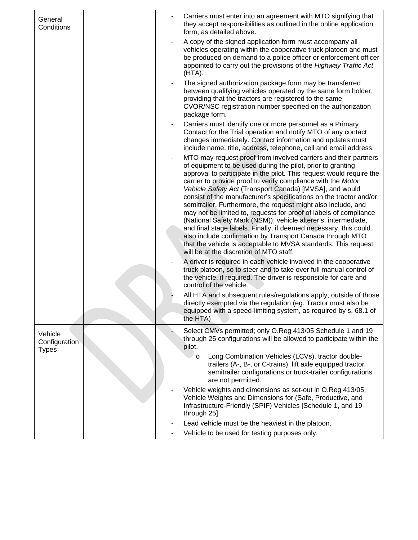| General<br>Conditions    | Carriers must enter into an agreement with MTO signifying that<br>they accept responsibilities as outlined in the online application<br>form, as detailed above.                                                                                                                                                                                                                                                                                                                                                                                                                                                                                                                                                                                                                                                                                                                |
|--------------------------|---------------------------------------------------------------------------------------------------------------------------------------------------------------------------------------------------------------------------------------------------------------------------------------------------------------------------------------------------------------------------------------------------------------------------------------------------------------------------------------------------------------------------------------------------------------------------------------------------------------------------------------------------------------------------------------------------------------------------------------------------------------------------------------------------------------------------------------------------------------------------------|
|                          | A copy of the signed application form must accompany all<br>vehicles operating within the cooperative truck platoon and must<br>be produced on demand to a police officer or enforcement officer<br>appointed to carry out the provisions of the Highway Traffic Act<br>(HTA).                                                                                                                                                                                                                                                                                                                                                                                                                                                                                                                                                                                                  |
|                          | The signed authorization package form may be transferred<br>between qualifying vehicles operated by the same form holder,<br>providing that the tractors are registered to the same<br>CVOR/NSC registration number specified on the authorization<br>package form.                                                                                                                                                                                                                                                                                                                                                                                                                                                                                                                                                                                                             |
|                          | Carriers must identify one or more personnel as a Primary<br>Contact for the Trial operation and notify MTO of any contact<br>changes immediately. Contact information and updates must<br>include name, title, address, telephone, cell and email address.                                                                                                                                                                                                                                                                                                                                                                                                                                                                                                                                                                                                                     |
|                          | MTO may request proof from involved carriers and their partners<br>$\blacksquare$<br>of equipment to be used during the pilot, prior to granting<br>approval to participate in the pilot. This request would require the<br>carrier to provide proof to verify compliance with the Motor<br>Vehicle Safety Act (Transport Canada) [MVSA], and would<br>consist of the manufacturer's specifications on the tractor and/or<br>semitrailer. Furthermore, the request might also include, and<br>may not be limited to, requests for proof of labels of compliance<br>(National Safety Mark (NSM)), vehicle alterer's, intermediate,<br>and final stage labels. Finally, if deemed necessary, this could<br>also include confirmation by Transport Canada through MTO<br>that the vehicle is acceptable to MVSA standards. This request<br>will be at the discretion of MTO staff. |
|                          | A driver is required in each vehicle involved in the cooperative<br>truck platoon, so to steer and to take over full manual control of<br>the vehicle, if required. The driver is responsible for care and<br>control of the vehicle.                                                                                                                                                                                                                                                                                                                                                                                                                                                                                                                                                                                                                                           |
|                          | All HTA and subsequent rules/regulations apply, outside of those<br>directly exempted via the regulation (eg. Tractor must also be<br>equipped with a speed-limiting system, as required by s. 68.1 of<br>the HTA)                                                                                                                                                                                                                                                                                                                                                                                                                                                                                                                                                                                                                                                              |
| Vehicle<br>Configuration | Select CMVs permitted; only O.Reg 413/05 Schedule 1 and 19<br>through 25 configurations will be allowed to participate within the<br>pilot.                                                                                                                                                                                                                                                                                                                                                                                                                                                                                                                                                                                                                                                                                                                                     |
| <b>Types</b>             | Long Combination Vehicles (LCVs), tractor double-<br>$\circ$<br>trailers (A-, B-, or C-trains), lift axle equipped tractor<br>semitrailer configurations or truck-trailer configurations<br>are not permitted.                                                                                                                                                                                                                                                                                                                                                                                                                                                                                                                                                                                                                                                                  |
|                          | Vehicle weights and dimensions as set-out in O.Reg 413/05,<br>Vehicle Weights and Dimensions for (Safe, Productive, and<br>Infrastructure-Friendly (SPIF) Vehicles [Schedule 1, and 19<br>through 25].                                                                                                                                                                                                                                                                                                                                                                                                                                                                                                                                                                                                                                                                          |
|                          | Lead vehicle must be the heaviest in the platoon.<br>Vehicle to be used for testing purposes only.                                                                                                                                                                                                                                                                                                                                                                                                                                                                                                                                                                                                                                                                                                                                                                              |
|                          |                                                                                                                                                                                                                                                                                                                                                                                                                                                                                                                                                                                                                                                                                                                                                                                                                                                                                 |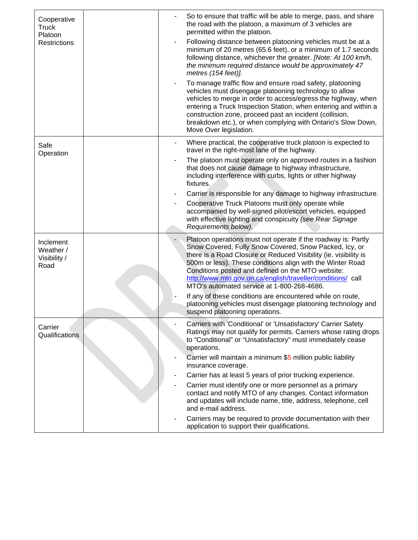| Cooperative<br><b>Truck</b><br>Platoon<br><b>Restrictions</b> | So to ensure that traffic will be able to merge, pass, and share<br>the road with the platoon, a maximum of 3 vehicles are<br>permitted within the platoon.<br>Following distance between platooning vehicles must be at a<br>minimum of 20 metres (65.6 feet), or a minimum of 1.7 seconds<br>following distance, whichever the greater. [Note: At 100 km/h,<br>the minimum required distance would be approximately 47<br>metres (154 feet)].<br>To manage traffic flow and ensure road safety, platooning<br>vehicles must disengage platooning technology to allow<br>vehicles to merge in order to access/egress the highway, when<br>entering a Truck Inspection Station, when entering and within a<br>construction zone, proceed past an incident (collision,<br>breakdown etc.), or when complying with Ontario's Slow Down,<br>Move Over legislation. |
|---------------------------------------------------------------|-----------------------------------------------------------------------------------------------------------------------------------------------------------------------------------------------------------------------------------------------------------------------------------------------------------------------------------------------------------------------------------------------------------------------------------------------------------------------------------------------------------------------------------------------------------------------------------------------------------------------------------------------------------------------------------------------------------------------------------------------------------------------------------------------------------------------------------------------------------------|
| Safe<br>Operation                                             | Where practical, the cooperative truck platoon is expected to<br>travel in the right-most lane of the highway.<br>The platoon must operate only on approved routes in a fashion<br>that does not cause damage to highway infrastructure,<br>including interference with curbs, lights or other highway<br>fixtures.<br>Carrier is responsible for any damage to highway infrastructure.<br>Cooperative Truck Platoons must only operate while<br>accompanied by well-signed pilot/escort vehicles, equipped<br>with effective lighting and conspicuity (see Rear Signage<br>Requirements below).                                                                                                                                                                                                                                                                |
| Inclement<br>Weather /<br>Visibility /<br>Road                | Platoon operations must not operate if the roadway is: Partly<br>-<br>Snow Covered, Fully Snow Covered, Snow Packed, Icy, or<br>there is a Road Closure or Reduced Visibility (ie. visibility is<br>500m or less). These conditions align with the Winter Road<br>Conditions posted and defined on the MTO website:<br>http://www.mto.gov.on.ca/english/traveller/conditions/ call<br>MTO's automated service at 1-800-268-4686.<br>If any of these conditions are encountered while on route,<br>٠<br>platooning vehicles must disengage platooning technology and<br>suspend platooning operations.                                                                                                                                                                                                                                                           |
| Carrier<br>Qualifications                                     | Carriers with 'Conditional' or 'Unsatisfactory' Carrier Safety<br>Ratings may not qualify for permits. Carriers whose rating drops<br>to "Conditional" or "Unsatisfactory" must immediately cease<br>operations.<br>Carrier will maintain a minimum \$5 million public liability<br>insurance coverage.<br>Carrier has at least 5 years of prior trucking experience.<br>Carrier must identify one or more personnel as a primary<br>contact and notify MTO of any changes. Contact information<br>and updates will include name, title, address, telephone, cell<br>and e-mail address.<br>Carriers may be required to provide documentation with their<br>application to support their qualifications.                                                                                                                                                        |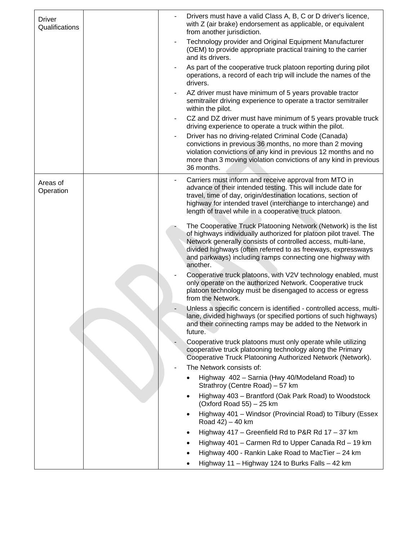| Driver<br>Qualifications |  | Drivers must have a valid Class A, B, C or D driver's licence,<br>with Z (air brake) endorsement as applicable, or equivalent<br>from another jurisdiction.                                                                                                                                                                                  |
|--------------------------|--|----------------------------------------------------------------------------------------------------------------------------------------------------------------------------------------------------------------------------------------------------------------------------------------------------------------------------------------------|
|                          |  | Technology provider and Original Equipment Manufacturer<br>(OEM) to provide appropriate practical training to the carrier<br>and its drivers.                                                                                                                                                                                                |
|                          |  | As part of the cooperative truck platoon reporting during pilot<br>operations, a record of each trip will include the names of the<br>drivers.                                                                                                                                                                                               |
|                          |  | AZ driver must have minimum of 5 years provable tractor<br>semitrailer driving experience to operate a tractor semitrailer<br>within the pilot.                                                                                                                                                                                              |
|                          |  | CZ and DZ driver must have minimum of 5 years provable truck<br>driving experience to operate a truck within the pilot.                                                                                                                                                                                                                      |
|                          |  | Driver has no driving-related Criminal Code (Canada)<br>convictions in previous 36 months, no more than 2 moving<br>violation convictions of any kind in previous 12 months and no<br>more than 3 moving violation convictions of any kind in previous<br>36 months.                                                                         |
| Areas of<br>Operation    |  | Carriers must inform and receive approval from MTO in<br>advance of their intended testing. This will include date for<br>travel, time of day, origin/destination locations, section of<br>highway for intended travel (interchange to interchange) and<br>length of travel while in a cooperative truck platoon.                            |
|                          |  | The Cooperative Truck Platooning Network (Network) is the list<br>of highways individually authorized for platoon pilot travel. The<br>Network generally consists of controlled access, multi-lane,<br>divided highways (often referred to as freeways, expressways<br>and parkways) including ramps connecting one highway with<br>another. |
|                          |  | Cooperative truck platoons, with V2V technology enabled, must<br>only operate on the authorized Network. Cooperative truck<br>platoon technology must be disengaged to access or egress<br>from the Network.                                                                                                                                 |
|                          |  | Unless a specific concern is identified - controlled access, multi-<br>lane, divided highways (or specified portions of such highways)<br>and their connecting ramps may be added to the Network in<br>future.                                                                                                                               |
|                          |  | Cooperative truck platoons must only operate while utilizing<br>cooperative truck platooning technology along the Primary<br>Cooperative Truck Platooning Authorized Network (Network).                                                                                                                                                      |
|                          |  | The Network consists of:                                                                                                                                                                                                                                                                                                                     |
|                          |  | Highway 402 - Sarnia (Hwy 40/Modeland Road) to<br>Strathroy (Centre Road) - 57 km                                                                                                                                                                                                                                                            |
|                          |  | Highway 403 - Brantford (Oak Park Road) to Woodstock<br>(Oxford Road 55) $-25$ km                                                                                                                                                                                                                                                            |
|                          |  | Highway 401 - Windsor (Provincial Road) to Tilbury (Essex<br>Road $42$ ) – 40 km                                                                                                                                                                                                                                                             |
|                          |  | Highway 417 - Greenfield Rd to P&R Rd 17 - 37 km                                                                                                                                                                                                                                                                                             |
|                          |  | Highway 401 - Carmen Rd to Upper Canada Rd - 19 km                                                                                                                                                                                                                                                                                           |
|                          |  | Highway 400 - Rankin Lake Road to MacTier - 24 km                                                                                                                                                                                                                                                                                            |
|                          |  | Highway 11 - Highway 124 to Burks Falls - 42 km                                                                                                                                                                                                                                                                                              |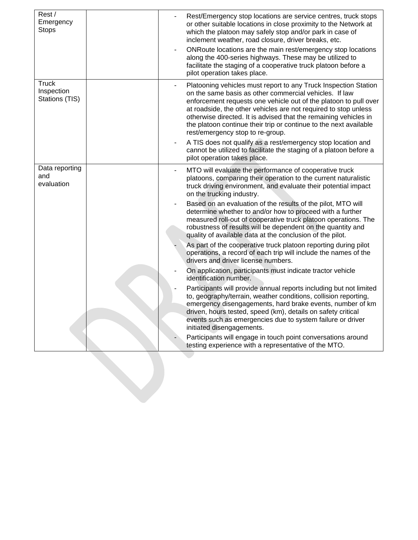| Rest/<br>Emergency<br><b>Stops</b>           | Rest/Emergency stop locations are service centres, truck stops<br>or other suitable locations in close proximity to the Network at<br>which the platoon may safely stop and/or park in case of<br>inclement weather, road closure, driver breaks, etc.<br>ONRoute locations are the main rest/emergency stop locations<br>along the 400-series highways. These may be utilized to<br>facilitate the staging of a cooperative truck platoon before a<br>pilot operation takes place.                                                                                                                                 |
|----------------------------------------------|---------------------------------------------------------------------------------------------------------------------------------------------------------------------------------------------------------------------------------------------------------------------------------------------------------------------------------------------------------------------------------------------------------------------------------------------------------------------------------------------------------------------------------------------------------------------------------------------------------------------|
| <b>Truck</b><br>Inspection<br>Stations (TIS) | Platooning vehicles must report to any Truck Inspection Station<br>on the same basis as other commercial vehicles. If law<br>enforcement requests one vehicle out of the platoon to pull over<br>at roadside, the other vehicles are not required to stop unless<br>otherwise directed. It is advised that the remaining vehicles in<br>the platoon continue their trip or continue to the next available<br>rest/emergency stop to re-group.<br>A TIS does not qualify as a rest/emergency stop location and<br>cannot be utilized to facilitate the staging of a platoon before a<br>pilot operation takes place. |
| Data reporting<br>and<br>evaluation          | MTO will evaluate the performance of cooperative truck<br>platoons, comparing their operation to the current naturalistic<br>truck driving environment, and evaluate their potential impact<br>on the trucking industry.                                                                                                                                                                                                                                                                                                                                                                                            |
|                                              | Based on an evaluation of the results of the pilot, MTO will<br>determine whether to and/or how to proceed with a further<br>measured roll-out of cooperative truck platoon operations. The<br>robustness of results will be dependent on the quantity and<br>quality of available data at the conclusion of the pilot.                                                                                                                                                                                                                                                                                             |
|                                              | As part of the cooperative truck platoon reporting during pilot<br>operations, a record of each trip will include the names of the<br>drivers and driver license numbers.                                                                                                                                                                                                                                                                                                                                                                                                                                           |
|                                              | On application, participants must indicate tractor vehicle<br>identification number.                                                                                                                                                                                                                                                                                                                                                                                                                                                                                                                                |
|                                              | Participants will provide annual reports including but not limited<br>to, geography/terrain, weather conditions, collision reporting,<br>emergency disengagements, hard brake events, number of km<br>driven, hours tested, speed (km), details on safety critical<br>events such as emergencies due to system failure or driver<br>initiated disengagements.                                                                                                                                                                                                                                                       |
|                                              | Participants will engage in touch point conversations around<br>testing experience with a representative of the MTO.                                                                                                                                                                                                                                                                                                                                                                                                                                                                                                |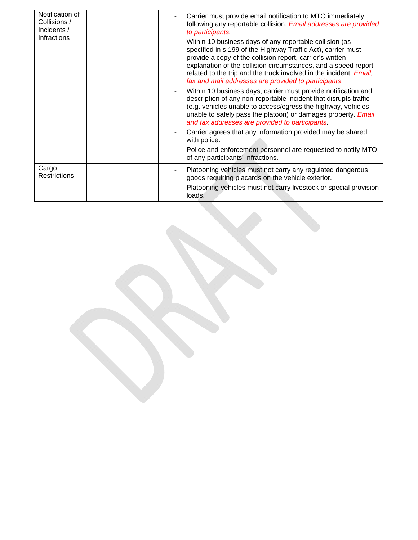| Notification of<br>Collisions /<br>Incidents /<br><b>Infractions</b> |  | Carrier must provide email notification to MTO immediately<br>following any reportable collision. Email addresses are provided<br>to participants.                                                                                                                                                                                                                                   |
|----------------------------------------------------------------------|--|--------------------------------------------------------------------------------------------------------------------------------------------------------------------------------------------------------------------------------------------------------------------------------------------------------------------------------------------------------------------------------------|
|                                                                      |  | Within 10 business days of any reportable collision (as<br>specified in s.199 of the Highway Traffic Act), carrier must<br>provide a copy of the collision report, carrier's written<br>explanation of the collision circumstances, and a speed report<br>related to the trip and the truck involved in the incident. Email,<br>fax and mail addresses are provided to participants. |
|                                                                      |  | Within 10 business days, carrier must provide notification and<br>description of any non-reportable incident that disrupts traffic<br>(e.g. vehicles unable to access/egress the highway, vehicles<br>unable to safely pass the platoon) or damages property. Email<br>and fax addresses are provided to participants.                                                               |
|                                                                      |  | Carrier agrees that any information provided may be shared<br>with police.                                                                                                                                                                                                                                                                                                           |
|                                                                      |  | Police and enforcement personnel are requested to notify MTO<br>of any participants' infractions.                                                                                                                                                                                                                                                                                    |
| Cargo<br><b>Restrictions</b>                                         |  | Platooning vehicles must not carry any regulated dangerous<br>goods requiring placards on the vehicle exterior.                                                                                                                                                                                                                                                                      |
|                                                                      |  | Platooning vehicles must not carry livestock or special provision<br>loads.                                                                                                                                                                                                                                                                                                          |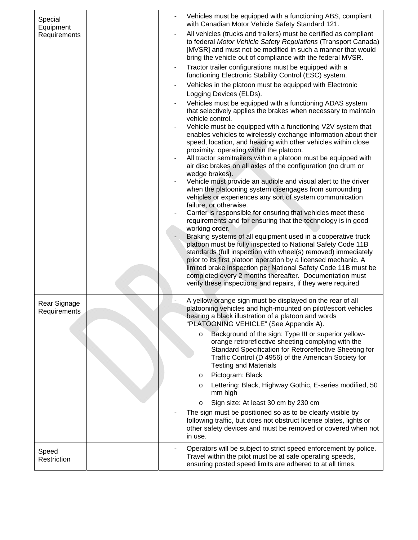| Special<br>Equipment         |  | Vehicles must be equipped with a functioning ABS, compliant<br>with Canadian Motor Vehicle Safety Standard 121.                                                                                                                                                                                                                                                                                                                                                             |
|------------------------------|--|-----------------------------------------------------------------------------------------------------------------------------------------------------------------------------------------------------------------------------------------------------------------------------------------------------------------------------------------------------------------------------------------------------------------------------------------------------------------------------|
| Requirements                 |  | All vehicles (trucks and trailers) must be certified as compliant<br>to federal Motor Vehicle Safety Regulations (Transport Canada)<br>[MVSR] and must not be modified in such a manner that would<br>bring the vehicle out of compliance with the federal MVSR.                                                                                                                                                                                                            |
|                              |  | Tractor trailer configurations must be equipped with a<br>functioning Electronic Stability Control (ESC) system.                                                                                                                                                                                                                                                                                                                                                            |
|                              |  | Vehicles in the platoon must be equipped with Electronic                                                                                                                                                                                                                                                                                                                                                                                                                    |
|                              |  | Logging Devices (ELDs).                                                                                                                                                                                                                                                                                                                                                                                                                                                     |
|                              |  | Vehicles must be equipped with a functioning ADAS system<br>that selectively applies the brakes when necessary to maintain<br>vehicle control.                                                                                                                                                                                                                                                                                                                              |
|                              |  | Vehicle must be equipped with a functioning V2V system that<br>enables vehicles to wirelessly exchange information about their<br>speed, location, and heading with other vehicles within close                                                                                                                                                                                                                                                                             |
|                              |  | proximity, operating within the platoon.<br>All tractor semitrailers within a platoon must be equipped with<br>air disc brakes on all axles of the configuration (no drum or                                                                                                                                                                                                                                                                                                |
|                              |  | wedge brakes).<br>Vehicle must provide an audible and visual alert to the driver<br>when the platooning system disengages from surrounding<br>vehicles or experiences any sort of system communication<br>failure, or otherwise.                                                                                                                                                                                                                                            |
|                              |  | Carrier is responsible for ensuring that vehicles meet these<br>requirements and for ensuring that the technology is in good                                                                                                                                                                                                                                                                                                                                                |
|                              |  | working order.<br>Braking systems of all equipment used in a cooperative truck<br>platoon must be fully inspected to National Safety Code 11B<br>standards (full inspection with wheel(s) removed) immediately<br>prior to its first platoon operation by a licensed mechanic. A<br>limited brake inspection per National Safety Code 11B must be<br>completed every 2 months thereafter. Documentation must<br>verify these inspections and repairs, if they were required |
| Rear Signage<br>Requirements |  | A yellow-orange sign must be displayed on the rear of all<br>platooning vehicles and high-mounted on pilot/escort vehicles<br>bearing a black illustration of a platoon and words<br>"PLATOONING VEHICLE" (See Appendix A).                                                                                                                                                                                                                                                 |
|                              |  | Background of the sign: Type III or superior yellow-<br>$\circ$<br>orange retroreflective sheeting complying with the<br>Standard Specification for Retroreflective Sheeting for<br>Traffic Control (D 4956) of the American Society for<br><b>Testing and Materials</b>                                                                                                                                                                                                    |
|                              |  | Pictogram: Black<br>$\circ$                                                                                                                                                                                                                                                                                                                                                                                                                                                 |
|                              |  | Lettering: Black, Highway Gothic, E-series modified, 50<br>O<br>mm high                                                                                                                                                                                                                                                                                                                                                                                                     |
|                              |  | Sign size: At least 30 cm by 230 cm<br>O                                                                                                                                                                                                                                                                                                                                                                                                                                    |
|                              |  | The sign must be positioned so as to be clearly visible by<br>following traffic, but does not obstruct license plates, lights or<br>other safety devices and must be removed or covered when not<br>in use.                                                                                                                                                                                                                                                                 |
| Speed<br>Restriction         |  | Operators will be subject to strict speed enforcement by police.<br>Travel within the pilot must be at safe operating speeds,<br>ensuring posted speed limits are adhered to at all times.                                                                                                                                                                                                                                                                                  |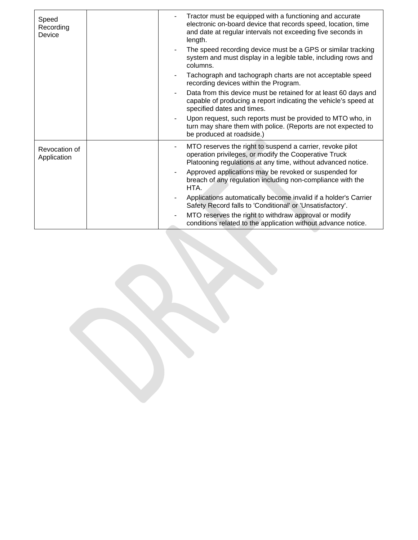| Speed<br>Recording<br>Device | Tractor must be equipped with a functioning and accurate<br>electronic on-board device that records speed, location, time<br>and date at regular intervals not exceeding five seconds in<br>length. |
|------------------------------|-----------------------------------------------------------------------------------------------------------------------------------------------------------------------------------------------------|
|                              | The speed recording device must be a GPS or similar tracking<br>system and must display in a legible table, including rows and<br>columns.                                                          |
|                              | Tachograph and tachograph charts are not acceptable speed<br>recording devices within the Program.                                                                                                  |
|                              | Data from this device must be retained for at least 60 days and<br>capable of producing a report indicating the vehicle's speed at<br>specified dates and times.                                    |
|                              | Upon request, such reports must be provided to MTO who, in<br>turn may share them with police. (Reports are not expected to<br>be produced at roadside.)                                            |
| Revocation of<br>Application | MTO reserves the right to suspend a carrier, revoke pilot<br>operation privileges, or modify the Cooperative Truck<br>Platooning regulations at any time, without advanced notice.                  |
|                              | Approved applications may be revoked or suspended for<br>breach of any regulation including non-compliance with the<br>HTA.                                                                         |
|                              | Applications automatically become invalid if a holder's Carrier<br>Safety Record falls to 'Conditional' or 'Unsatisfactory'.                                                                        |
|                              | MTO reserves the right to withdraw approval or modify<br>conditions related to the application without advance notice.                                                                              |